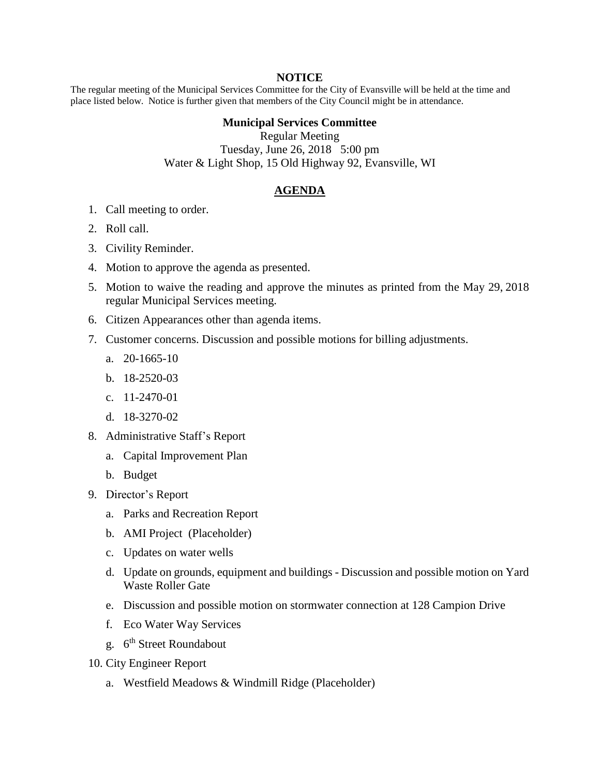## **NOTICE**

The regular meeting of the Municipal Services Committee for the City of Evansville will be held at the time and place listed below. Notice is further given that members of the City Council might be in attendance.

## **Municipal Services Committee**

Regular Meeting Tuesday, June 26, 2018 5:00 pm Water & Light Shop, 15 Old Highway 92, Evansville, WI

## **AGENDA**

- 1. Call meeting to order.
- 2. Roll call.
- 3. Civility Reminder.
- 4. Motion to approve the agenda as presented.
- 5. Motion to waive the reading and approve the minutes as printed from the May 29, 2018 regular Municipal Services meeting.
- 6. Citizen Appearances other than agenda items.
- 7. Customer concerns. Discussion and possible motions for billing adjustments.
	- a. 20-1665-10
	- b. 18-2520-03
	- c. 11-2470-01
	- d. 18-3270-02
- 8. Administrative Staff's Report
	- a. Capital Improvement Plan
	- b. Budget
- 9. Director's Report
	- a. Parks and Recreation Report
	- b. AMI Project (Placeholder)
	- c. Updates on water wells
	- d. Update on grounds, equipment and buildings Discussion and possible motion on Yard Waste Roller Gate
	- e. Discussion and possible motion on stormwater connection at 128 Campion Drive
	- f. Eco Water Way Services
	- g. 6<sup>th</sup> Street Roundabout
- 10. City Engineer Report
	- a. Westfield Meadows & Windmill Ridge (Placeholder)